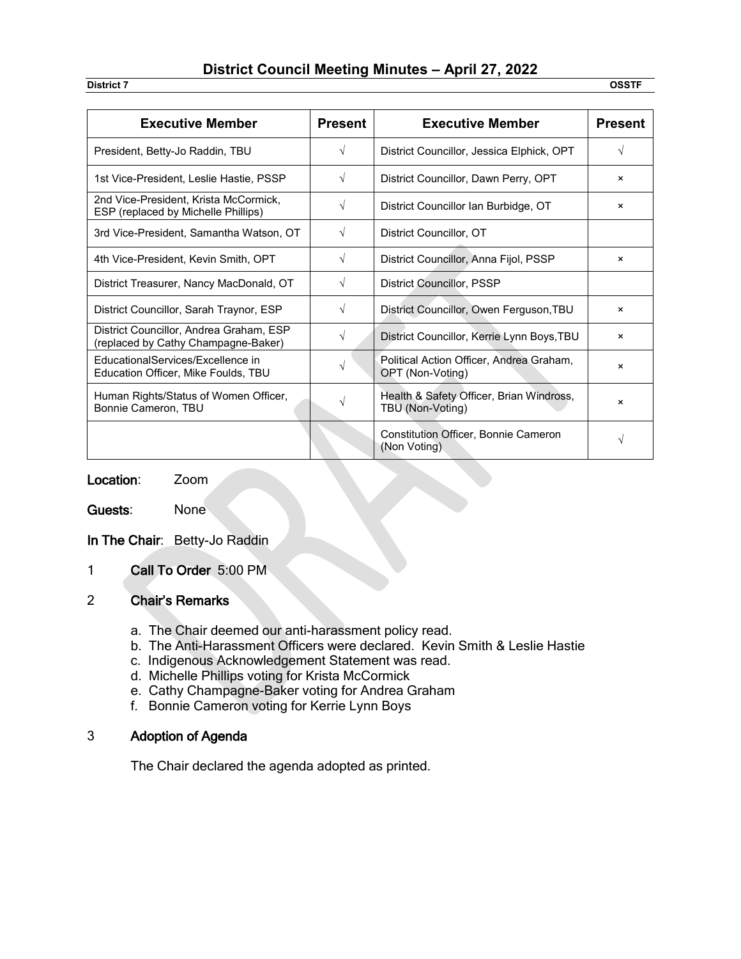# **District Council Meeting Minutes – April 27, 2022**

**District 7 OSSTF**

| <b>Executive Member</b>                                                        | <b>Present</b> | <b>Executive Member</b>                                      | <b>Present</b>            |
|--------------------------------------------------------------------------------|----------------|--------------------------------------------------------------|---------------------------|
| President, Betty-Jo Raddin, TBU                                                | $\sqrt{ }$     | District Councillor, Jessica Elphick, OPT                    | V                         |
| 1st Vice-President, Leslie Hastie, PSSP                                        | $\sqrt{ }$     | District Councillor, Dawn Perry, OPT                         | $\times$                  |
| 2nd Vice-President, Krista McCormick,<br>ESP (replaced by Michelle Phillips)   | V              | District Councillor Ian Burbidge, OT                         | ×                         |
| 3rd Vice-President, Samantha Watson, OT                                        | $\sqrt{}$      | District Councillor, OT                                      |                           |
| 4th Vice-President, Kevin Smith, OPT                                           | $\sqrt{}$      | District Councillor, Anna Fijol, PSSP                        | ×                         |
| District Treasurer, Nancy MacDonald, OT                                        | $\sqrt{ }$     | <b>District Councillor, PSSP</b>                             |                           |
| District Councillor, Sarah Traynor, ESP                                        | $\sqrt{ }$     | District Councillor, Owen Ferguson, TBU                      | ×                         |
| District Councillor, Andrea Graham, ESP<br>(replaced by Cathy Champagne-Baker) | $\sqrt{ }$     | District Councillor, Kerrie Lynn Boys, TBU                   | $\boldsymbol{\mathsf{x}}$ |
| EducationalServices/Excellence in<br>Education Officer, Mike Foulds, TBU       | $\sqrt{}$      | Political Action Officer, Andrea Graham,<br>OPT (Non-Voting) | ×                         |
| Human Rights/Status of Women Officer,<br>Bonnie Cameron, TBU                   |                | Health & Safety Officer, Brian Windross,<br>TBU (Non-Voting) | ×                         |
|                                                                                |                | <b>Constitution Officer, Bonnie Cameron</b><br>(Non Voting)  | V                         |

Location: Zoom

Guests: None

In The Chair: Betty-Jo Raddin

1 Call To Order 5:00 PM

## 2 Chair's Remarks

- a. The Chair deemed our anti-harassment policy read.
- b. The Anti-Harassment Officers were declared. Kevin Smith & Leslie Hastie
- c. Indigenous Acknowledgement Statement was read.
- d. Michelle Phillips voting for Krista McCormick
- e. Cathy Champagne-Baker voting for Andrea Graham
- f. Bonnie Cameron voting for Kerrie Lynn Boys

### 3 Adoption of Agenda

The Chair declared the agenda adopted as printed.